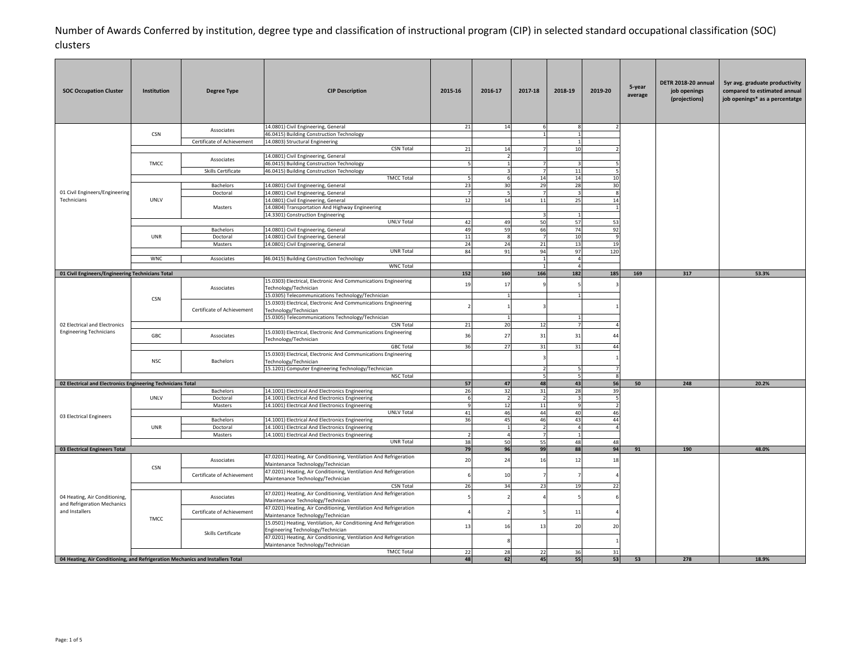| <b>SOC Occupation Cluster</b>                                                  | Institution | <b>Degree Type</b>         | <b>CIP Description</b>                                                                                              | 2015-16                  | 2016-17        | 2017-18              | 2018-19                 | 2019-20        | 5-year<br>average                                      | DETR 2018-20 annual<br>job openings<br>(projections) | 5yr avg. graduate productivity<br>compared to estimated annual<br>job openings* as a percentatge |
|--------------------------------------------------------------------------------|-------------|----------------------------|---------------------------------------------------------------------------------------------------------------------|--------------------------|----------------|----------------------|-------------------------|----------------|--------------------------------------------------------|------------------------------------------------------|--------------------------------------------------------------------------------------------------|
|                                                                                |             | Associates                 | 14.0801) Civil Engineering, General                                                                                 | 21                       | $14$           |                      | 8                       |                |                                                        |                                                      |                                                                                                  |
|                                                                                | <b>CSN</b>  |                            | 46.0415) Building Construction Technology                                                                           |                          |                |                      | $\overline{1}$          |                |                                                        |                                                      |                                                                                                  |
|                                                                                |             | Certificate of Achievement | 14.0803) Structural Engineering<br><b>CSN Total</b>                                                                 | 21                       | 14             |                      | $\mathbf{1}$<br>10      |                |                                                        |                                                      |                                                                                                  |
|                                                                                |             |                            | 14.0801) Civil Engineering, General                                                                                 |                          |                |                      |                         |                |                                                        |                                                      |                                                                                                  |
|                                                                                | <b>TMCC</b> | Associates                 | 46.0415) Building Construction Technology                                                                           | 5                        | $\overline{1}$ |                      | $\mathbf{a}$            |                |                                                        |                                                      |                                                                                                  |
|                                                                                |             | Skills Certificate         | 46.0415) Building Construction Technology                                                                           |                          |                | $\overline{7}$       | 11                      |                |                                                        |                                                      |                                                                                                  |
|                                                                                |             |                            | <b>TMCC Total</b>                                                                                                   |                          | 6              | 14                   | $14\,$                  | 10             |                                                        |                                                      |                                                                                                  |
|                                                                                |             | Bachelors                  | 14.0801) Civil Engineering, General                                                                                 | 23                       | 30             | 29                   | 28                      | 30             |                                                        |                                                      |                                                                                                  |
| 01 Civil Engineers/Engineering<br>Technicians                                  | UNLV        | Doctoral                   | 14.0801) Civil Engineering, General<br>14.0801) Civil Engineering, General                                          | $\overline{7}$<br>12     | 5<br>14        | - 7<br>11            | $\overline{3}$<br>25    | 8<br>14        |                                                        |                                                      |                                                                                                  |
|                                                                                |             | Masters                    | 14.0804) Transportation And Highway Engineering                                                                     |                          |                |                      |                         |                |                                                        |                                                      |                                                                                                  |
|                                                                                |             |                            | 14.3301) Construction Engineering                                                                                   |                          |                |                      |                         |                | 317<br>169<br>50<br>248<br>20.2%<br>91<br>190<br>48.0% |                                                      |                                                                                                  |
|                                                                                |             |                            | <b>UNLV Total</b>                                                                                                   | 42                       | 49             | 50                   | 57                      | 53             |                                                        |                                                      |                                                                                                  |
|                                                                                |             | Bachelors                  | 14.0801) Civil Engineering, General                                                                                 | 49                       | 59             | 66                   | 74                      | 92             |                                                        |                                                      |                                                                                                  |
|                                                                                | UNR         | Doctoral                   | 14.0801) Civil Engineering, General                                                                                 | 11                       | 8              | - 7                  | 10                      | -9             |                                                        |                                                      |                                                                                                  |
|                                                                                |             | Masters                    | 14.0801) Civil Engineering, General                                                                                 | 24                       | 24             | 21                   | 13                      | 19             |                                                        |                                                      |                                                                                                  |
|                                                                                | <b>WNC</b>  | Associates                 | UNR Total                                                                                                           | 84                       | 91             | 94<br>$\overline{1}$ | 97<br>$\overline{4}$    | 120            |                                                        |                                                      |                                                                                                  |
|                                                                                |             |                            | 46.0415) Building Construction Technology<br><b>WNC Total</b>                                                       |                          |                | $\overline{1}$       | $\overline{4}$          |                |                                                        |                                                      |                                                                                                  |
| 01 Civil Engineers/Engineering Technicians Total                               |             |                            |                                                                                                                     | 152                      | 160            | 166                  | 182                     | 185            |                                                        |                                                      |                                                                                                  |
|                                                                                |             | Associates                 | 15.0303) Electrical, Electronic And Communications Engineering<br>Technology/Technician                             | 19                       | 17             |                      |                         |                |                                                        |                                                      |                                                                                                  |
|                                                                                | <b>CSN</b>  |                            | 15.0305) Telecommunications Technology/Technician<br>15.0303) Electrical, Electronic And Communications Engineering |                          |                |                      |                         |                |                                                        |                                                      |                                                                                                  |
|                                                                                |             | Certificate of Achievement | Technology/Technician<br>15.0305) Telecommunications Technology/Technician                                          |                          | $\mathbf{1}$   |                      |                         |                |                                                        |                                                      |                                                                                                  |
| 02 Electrical and Electronics                                                  |             |                            | <b>CSN Total</b>                                                                                                    | 21                       | 20             | 12                   |                         |                |                                                        |                                                      |                                                                                                  |
| <b>Engineering Technicians</b>                                                 |             |                            | 15.0303) Electrical, Electronic And Communications Engineering                                                      |                          |                |                      |                         |                |                                                        |                                                      |                                                                                                  |
|                                                                                | GBC         | Associates                 | Technology/Technician                                                                                               | 36                       | 27             | 31                   | 31                      | $\Delta\Delta$ |                                                        | 53.3%                                                |                                                                                                  |
|                                                                                |             | Bachelors                  | <b>GBC Total</b>                                                                                                    | 36                       | 27             | 31                   | 31                      | 44             |                                                        |                                                      |                                                                                                  |
|                                                                                | NSC         |                            | 15.0303) Electrical, Electronic And Communications Engineering<br>Technology/Technician                             |                          |                |                      |                         |                |                                                        |                                                      |                                                                                                  |
|                                                                                |             |                            | 15.1201) Computer Engineering Technology/Technician                                                                 |                          |                |                      |                         |                |                                                        |                                                      |                                                                                                  |
|                                                                                |             |                            | <b>NSC Total</b>                                                                                                    |                          |                | 5                    | 5                       |                |                                                        |                                                      |                                                                                                  |
| 02 Electrical and Electronics Engineering Technicians Total                    |             | Bachelors                  | 14.1001) Electrical And Electronics Engineering                                                                     | 57<br>26                 | 47<br>32       | 48<br>31             | 43<br>28                | 56<br>39       |                                                        |                                                      |                                                                                                  |
|                                                                                | UNLV        | Doctoral                   | 14.1001) Electrical And Electronics Engineering                                                                     | 6                        | $\overline{2}$ | $\overline{2}$       | $\overline{\mathbf{3}}$ | 5              |                                                        |                                                      |                                                                                                  |
|                                                                                |             | Masters                    | 14.1001) Electrical And Electronics Engineering                                                                     | -9                       | 12             | 11                   | 9                       | $\mathcal{P}$  |                                                        |                                                      |                                                                                                  |
| 03 Electrical Engineers                                                        |             |                            | <b>UNLV Total</b>                                                                                                   | 41                       | 46             | 44                   | 40                      | 46             |                                                        |                                                      |                                                                                                  |
|                                                                                |             | Bachelors                  | 14.1001) Electrical And Electronics Engineering                                                                     | 36                       | 45             | 46                   | 43                      | 44             |                                                        |                                                      |                                                                                                  |
|                                                                                | UNR         | Doctoral                   | 14.1001) Electrical And Electronics Engineering                                                                     |                          | $\mathbf{1}$   | $\overline{2}$       | $\overline{4}$          |                |                                                        |                                                      |                                                                                                  |
|                                                                                |             | Masters                    | 14.1001) Electrical And Electronics Engineering                                                                     | $\overline{\phantom{a}}$ | $\overline{4}$ | -7                   |                         |                |                                                        |                                                      |                                                                                                  |
| 03 Electrical Engineers Total                                                  |             |                            | <b>UNR Total</b>                                                                                                    | 38<br>79                 | 50<br>96       | 55<br>99             | 48<br>88                | 48<br>94       |                                                        |                                                      |                                                                                                  |
|                                                                                |             | Associates                 | 47.0201) Heating, Air Conditioning, Ventilation And Refrigeration                                                   | 20                       | 24             | 16                   | 12                      | 18             |                                                        |                                                      |                                                                                                  |
|                                                                                | <b>CSN</b>  | Certificate of Achievement | Maintenance Technology/Technician<br>47.0201) Heating, Air Conditioning, Ventilation And Refrigeration              |                          | 10             |                      |                         |                |                                                        |                                                      |                                                                                                  |
|                                                                                |             |                            | Maintenance Technology/Technician                                                                                   |                          | 34             |                      | 19                      | 22             |                                                        |                                                      |                                                                                                  |
|                                                                                |             |                            | <b>CSN Total</b><br>47.0201) Heating, Air Conditioning, Ventilation And Refrigeration                               | 26                       |                | 23                   |                         |                |                                                        |                                                      |                                                                                                  |
| 04 Heating, Air Conditioning,<br>and Refrigeration Mechanics                   |             | Associates                 | Maintenance Technology/Technician                                                                                   |                          |                |                      |                         |                |                                                        |                                                      |                                                                                                  |
| and Installers                                                                 | TMCC        | Certificate of Achievement | 47.0201) Heating, Air Conditioning, Ventilation And Refrigeration<br>Maintenance Technology/Technician              |                          |                |                      | 11                      |                |                                                        |                                                      |                                                                                                  |
|                                                                                |             | Skills Certificate         | 15.0501) Heating, Ventilation, Air Conditioning And Refrigeration<br>Engineering Technology/Technician              | 13                       | 16             | 13                   | 20                      | 20             |                                                        |                                                      |                                                                                                  |
|                                                                                |             |                            | 47.0201) Heating, Air Conditioning, Ventilation And Refrigeration<br>Maintenance Technology/Technician              |                          |                |                      |                         |                |                                                        |                                                      |                                                                                                  |
|                                                                                |             |                            | <b>TMCC Total</b>                                                                                                   | 22                       | 28             | 22                   | 36                      | 31             |                                                        |                                                      |                                                                                                  |
| 04 Heating, Air Conditioning, and Refrigeration Mechanics and Installers Total |             |                            |                                                                                                                     | 48                       | 62             | 45                   | 55                      | 53             | 53                                                     | 278                                                  | 18.9%                                                                                            |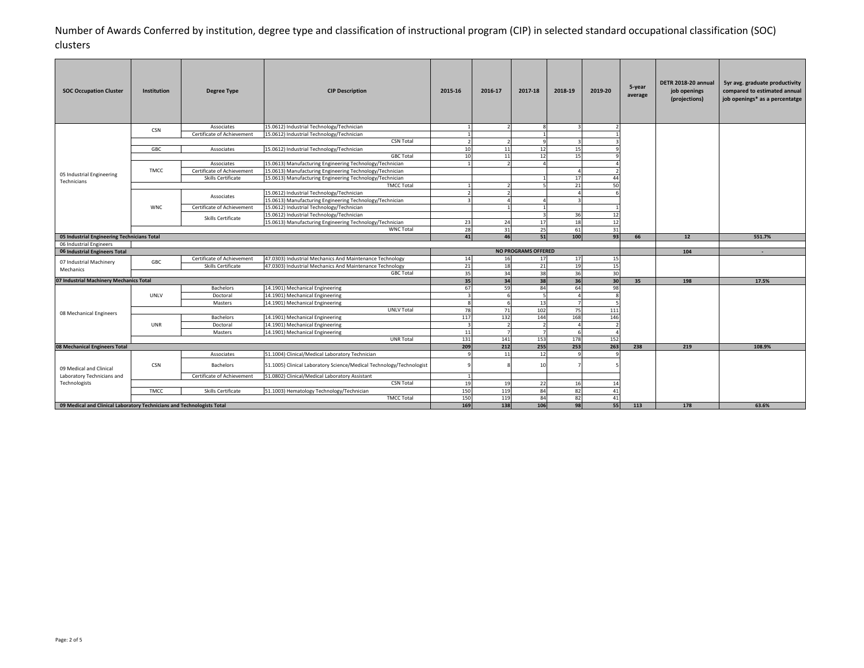| <b>SOC Occupation Cluster</b>                                          | <b>Institution</b> | <b>Degree Type</b>         | <b>CIP Description</b>                                               | 2015-16                 | 2016-17                                                  | 2017-18        | 2018-19      | 2019-20       | 5-year<br>average | DETR 2018-20 annual<br>job openings<br>(projections) | 5yr avg. graduate productivity<br>compared to estimated annual<br>job openings* as a percentatge |
|------------------------------------------------------------------------|--------------------|----------------------------|----------------------------------------------------------------------|-------------------------|----------------------------------------------------------|----------------|--------------|---------------|-------------------|------------------------------------------------------|--------------------------------------------------------------------------------------------------|
|                                                                        | <b>CSN</b>         | Associates                 | 15.0612) Industrial Technology/Technician                            | $\overline{1}$          | $\overline{\phantom{a}}$                                 | -8             | $\mathbf{3}$ | $\mathcal{P}$ |                   |                                                      |                                                                                                  |
|                                                                        |                    | Certificate of Achievement | 15.0612) Industrial Technology/Technician                            |                         |                                                          |                |              |               |                   |                                                      |                                                                                                  |
|                                                                        |                    |                            | <b>CSN Total</b>                                                     | $\mathcal{P}$           |                                                          | - q            |              |               |                   |                                                      |                                                                                                  |
|                                                                        | GBC                | Associates                 | 15.0612) Industrial Technology/Technician                            | $10\,$                  | 11                                                       | 12             | 15           |               |                   |                                                      |                                                                                                  |
|                                                                        |                    |                            | <b>GBC Total</b>                                                     | 10                      | 11                                                       | 12             | 15           |               |                   |                                                      |                                                                                                  |
|                                                                        |                    | Associates                 | 15.0613) Manufacturing Engineering Technology/Technician             |                         | $\overline{\phantom{a}}$                                 |                |              |               |                   |                                                      |                                                                                                  |
| 05 Industrial Engineering                                              | <b>TMCC</b>        | Certificate of Achievement | 15.0613) Manufacturing Engineering Technology/Technician             |                         |                                                          |                |              |               |                   |                                                      |                                                                                                  |
| Technicians                                                            |                    | Skills Certificate         | 15.0613) Manufacturing Engineering Technology/Technician             |                         |                                                          |                | 17           | 44            |                   |                                                      |                                                                                                  |
|                                                                        |                    |                            | <b>TMCC Total</b>                                                    |                         |                                                          |                | 21           | 50            |                   |                                                      |                                                                                                  |
|                                                                        |                    | Associates                 | 15.0612) Industrial Technology/Technician                            | $\mathcal{P}$           |                                                          |                |              |               |                   |                                                      |                                                                                                  |
|                                                                        |                    |                            | 15.0613) Manufacturing Engineering Technology/Technician             |                         |                                                          |                |              |               |                   |                                                      |                                                                                                  |
|                                                                        | <b>WNC</b>         | Certificate of Achievement | 15.0612) Industrial Technology/Technician                            |                         |                                                          |                |              |               |                   |                                                      |                                                                                                  |
|                                                                        |                    | Skills Certificate         | 15.0612) Industrial Technology/Technician                            |                         |                                                          | -3             | 36           | 12            |                   |                                                      |                                                                                                  |
|                                                                        |                    |                            | 15.0613) Manufacturing Engineering Technology/Technician             | 23                      | 24                                                       | 17             | 18           | 12            |                   |                                                      |                                                                                                  |
|                                                                        |                    |                            | <b>WNC Total</b>                                                     | 28                      | 31                                                       | 25             | 61           | 31            |                   |                                                      |                                                                                                  |
| 05 Industrial Engineering Technicians Total                            |                    |                            |                                                                      | 41                      | 46                                                       | 51             | 100          | 93            | 66                | 12                                                   | 551.7%                                                                                           |
| 06 Industrial Engineers                                                |                    |                            |                                                                      |                         |                                                          |                |              |               |                   | 104                                                  | $\sim$                                                                                           |
| 06 Industrial Engineers Total                                          |                    | Certificate of Achievement | 47.0303) Industrial Mechanics And Maintenance Technology             |                         | <b>NO PROGRAMS OFFERED</b><br>14<br>17<br>16<br>17<br>15 |                |              |               |                   |                                                      |                                                                                                  |
| 07 Industrial Machinery                                                | GBC                | Skills Certificate         | 47.0303) Industrial Mechanics And Maintenance Technology             | 21                      | 18                                                       | 21             | 19           | 15            |                   |                                                      |                                                                                                  |
| Mechanics                                                              |                    |                            | <b>GBC Total</b>                                                     | 35                      | 34                                                       | 38             | 36           | 30            |                   |                                                      |                                                                                                  |
| 07 Industrial Machinery Mechanics Total                                |                    |                            |                                                                      | 35                      | 34                                                       | 38             | 36           | 30            | 35                | 198                                                  | 17.5%                                                                                            |
|                                                                        |                    | Bachelors                  | 14.1901) Mechanical Engineering                                      | 67                      | 59                                                       | 84             | 64           | 98            |                   |                                                      |                                                                                                  |
|                                                                        | UNLV               | Doctoral                   | 14.1901) Mechanical Engineering                                      | $\overline{3}$          | 6                                                        | 5              |              |               |                   |                                                      |                                                                                                  |
|                                                                        |                    | Masters                    | 14.1901) Mechanical Engineering                                      | $\mathbf{\hat{z}}$      |                                                          | 13             |              |               |                   |                                                      |                                                                                                  |
|                                                                        |                    |                            | <b>UNLV Total</b>                                                    | 78                      | 71                                                       | 102            | 75           | 111           |                   |                                                      |                                                                                                  |
| 08 Mechanical Engineers                                                |                    | Bachelors                  | 14.1901) Mechanical Engineering                                      | 117                     | 132                                                      | 144            | 168          | 146           |                   |                                                      |                                                                                                  |
|                                                                        | UNR                | Doctoral                   | 14.1901) Mechanical Engineering                                      | $\overline{\mathbf{3}}$ | $\overline{2}$                                           | $\overline{2}$ |              |               |                   |                                                      |                                                                                                  |
|                                                                        |                    | Masters                    | 14.1901) Mechanical Engineering                                      | 11                      |                                                          | -7             |              |               |                   |                                                      |                                                                                                  |
|                                                                        |                    |                            | UNR Total                                                            | 131                     | 141                                                      | 153            | 178          | 152           |                   |                                                      |                                                                                                  |
| 08 Mechanical Engineers Total                                          |                    |                            |                                                                      | 209                     | 212                                                      | 255            | 253          | 263           | 238               | 219                                                  | 108.9%                                                                                           |
|                                                                        |                    | Associates                 | 51.1004) Clinical/Medical Laboratory Technician                      | <sup>9</sup>            | 11                                                       | 12             | $\alpha$     | $\Omega$      |                   |                                                      |                                                                                                  |
| 09 Medical and Clinical                                                | <b>CSN</b>         | Bachelors                  | 51.1005) Clinical Laboratory Science/Medical Technology/Technologist |                         |                                                          | 10             |              |               |                   |                                                      |                                                                                                  |
| Laboratory Technicians and                                             |                    | Certificate of Achievement | 51.0802) Clinical/Medical Laboratory Assistant                       |                         |                                                          |                |              |               |                   |                                                      |                                                                                                  |
| Technologists                                                          |                    |                            | <b>CSN Total</b>                                                     | 19                      | 19                                                       | 22             | 16           | 14            |                   |                                                      |                                                                                                  |
|                                                                        | <b>TMCC</b>        | Skills Certificate         | 51.1003) Hematology Technology/Technician                            | 150                     | 119                                                      | 84             | 82           | 41            |                   |                                                      |                                                                                                  |
|                                                                        |                    |                            | <b>TMCC Total</b>                                                    | 150                     | 119                                                      | 84             | 82           | 41            |                   |                                                      |                                                                                                  |
| 09 Medical and Clinical Laboratory Technicians and Technologists Total |                    |                            |                                                                      | 169                     | 138                                                      | 106            | 98           | 55            | 113               | 178                                                  | 63.6%                                                                                            |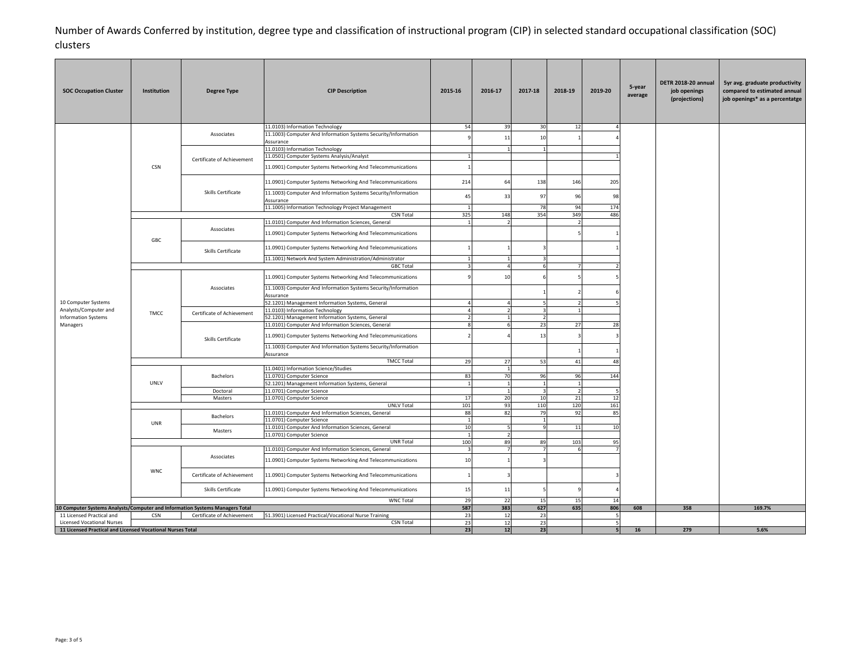| <b>SOC Occupation Cluster</b>                                                                   | Institution | <b>Degree Type</b>                                                                                                                                                              | <b>CIP Description</b>                                                        | 2015-16        | 2016-17             | 2017-18                 | 2018-19        | 2019-20 | 5-year<br>average | DETR 2018-20 annual<br>job openings<br>(projections) | 5yr avg. graduate productivity<br>compared to estimated annual<br>job openings* as a percentatge |
|-------------------------------------------------------------------------------------------------|-------------|---------------------------------------------------------------------------------------------------------------------------------------------------------------------------------|-------------------------------------------------------------------------------|----------------|---------------------|-------------------------|----------------|---------|-------------------|------------------------------------------------------|--------------------------------------------------------------------------------------------------|
|                                                                                                 |             |                                                                                                                                                                                 | 11.0103) Information Technology                                               | 54             | 39                  | 30                      | 12             | Δ       |                   |                                                      |                                                                                                  |
|                                                                                                 |             | Associates                                                                                                                                                                      | 11.1003) Computer And Information Systems Security/Information                |                | 11                  | 10                      |                |         |                   |                                                      |                                                                                                  |
|                                                                                                 |             |                                                                                                                                                                                 | Assurance                                                                     |                |                     |                         |                |         |                   |                                                      |                                                                                                  |
|                                                                                                 |             |                                                                                                                                                                                 | 11.0103) Information Technology                                               |                |                     |                         |                |         |                   |                                                      |                                                                                                  |
|                                                                                                 |             | Certificate of Achievement                                                                                                                                                      | 11.0501) Computer Systems Analysis/Analyst                                    | $\mathbf{1}$   |                     |                         |                |         |                   |                                                      |                                                                                                  |
|                                                                                                 | <b>CSN</b>  |                                                                                                                                                                                 | 11.0901) Computer Systems Networking And Telecommunications                   |                |                     |                         |                |         |                   |                                                      |                                                                                                  |
|                                                                                                 |             |                                                                                                                                                                                 | 11.0901) Computer Systems Networking And Telecommunications                   | 214            | 64                  | 138                     | 146            | 205     |                   |                                                      |                                                                                                  |
|                                                                                                 |             | Skills Certificate                                                                                                                                                              | 11.1003) Computer And Information Systems Security/Information<br>Assurance   | 45             | 33                  | 97                      | 96             | 98      |                   | 608<br>358<br>169.7%                                 |                                                                                                  |
|                                                                                                 |             |                                                                                                                                                                                 | 11.1005) Information Technology Project Management                            | 1              |                     | 78                      | 94             | 174     |                   |                                                      |                                                                                                  |
|                                                                                                 |             |                                                                                                                                                                                 | <b>CSN Total</b>                                                              | 325            | 148                 | 354                     | 349            | 486     |                   |                                                      |                                                                                                  |
|                                                                                                 |             |                                                                                                                                                                                 | 11.0101) Computer And Information Sciences, General                           |                |                     |                         |                |         |                   |                                                      |                                                                                                  |
|                                                                                                 | GBC         | Associates                                                                                                                                                                      | 11.0901) Computer Systems Networking And Telecommunications                   |                |                     |                         |                |         |                   |                                                      |                                                                                                  |
|                                                                                                 |             | 11.0901) Computer Systems Networking And Telecommunications<br>Skills Certificate<br>11.1001) Network And System Administration/Administrator<br>$\overline{3}$<br>$\mathbf{1}$ |                                                                               |                |                     |                         |                |         |                   |                                                      |                                                                                                  |
|                                                                                                 |             |                                                                                                                                                                                 |                                                                               |                |                     |                         |                |         |                   |                                                      |                                                                                                  |
|                                                                                                 |             |                                                                                                                                                                                 | <b>GBC Total</b>                                                              |                | $\overline{4}$      | 6                       |                |         |                   |                                                      |                                                                                                  |
|                                                                                                 |             |                                                                                                                                                                                 | 11.0901) Computer Systems Networking And Telecommunications                   |                | 10                  |                         |                |         |                   |                                                      |                                                                                                  |
|                                                                                                 |             | Associates                                                                                                                                                                      | 11.1003) Computer And Information Systems Security/Information<br>Assurance   |                |                     |                         |                |         |                   |                                                      |                                                                                                  |
| 10 Computer Systems                                                                             |             |                                                                                                                                                                                 | 52.1201) Management Information Systems, General                              |                |                     | 5                       |                |         |                   |                                                      |                                                                                                  |
| Analysts/Computer and                                                                           | TMCC        | Certificate of Achievement                                                                                                                                                      | 11.0103) Information Technology                                               | $\overline{a}$ | $\overline{2}$      | $\overline{\mathbf{3}}$ |                |         |                   |                                                      |                                                                                                  |
| <b>Information Systems</b>                                                                      |             |                                                                                                                                                                                 | 52.1201) Management Information Systems, General                              |                | $\mathbf{1}$        | $\overline{2}$          |                |         | 28                |                                                      |                                                                                                  |
| Managers                                                                                        |             | Skills Certificate                                                                                                                                                              | 11.0101) Computer And Information Sciences, General                           |                | 6                   | 23                      | 27             |         |                   |                                                      |                                                                                                  |
|                                                                                                 |             |                                                                                                                                                                                 | 11.0901) Computer Systems Networking And Telecommunications                   |                |                     | 13                      |                |         |                   |                                                      |                                                                                                  |
|                                                                                                 |             |                                                                                                                                                                                 | 11.1003) Computer And Information Systems Security/Information<br>Assurance   |                |                     |                         |                |         |                   |                                                      |                                                                                                  |
|                                                                                                 |             |                                                                                                                                                                                 | <b>TMCC Total</b>                                                             | 29             | 27                  | 53                      | 41             | 48      |                   |                                                      |                                                                                                  |
|                                                                                                 |             | Bachelors                                                                                                                                                                       | 11.0401) Information Science/Studies                                          | 83             | $\mathbf{1}$<br>70  | 96                      | 96             | 144     |                   |                                                      |                                                                                                  |
|                                                                                                 | UNLV        |                                                                                                                                                                                 | 11.0701) Computer Science<br>52.1201) Management Information Systems, General | $\overline{1}$ | $\overline{1}$      | $\overline{1}$          |                |         |                   |                                                      |                                                                                                  |
|                                                                                                 |             | Doctoral                                                                                                                                                                        | 11.0701) Computer Science                                                     |                | $\mathbf{1}$        | $\overline{\mathbf{3}}$ | $\overline{2}$ |         |                   |                                                      |                                                                                                  |
|                                                                                                 |             | Masters                                                                                                                                                                         | 11.0701) Computer Science                                                     | 17             | 20                  | 10                      | 21             | 12      |                   |                                                      |                                                                                                  |
|                                                                                                 |             |                                                                                                                                                                                 | <b>UNLV Total</b>                                                             | 101            | 93                  | 110                     | 120            | 161     |                   |                                                      |                                                                                                  |
|                                                                                                 |             | Bachelors                                                                                                                                                                       | 11.0101) Computer And Information Sciences, General                           | 88             | 82                  | 79                      | 92             | 85      |                   |                                                      |                                                                                                  |
|                                                                                                 | UNR         |                                                                                                                                                                                 | 11.0701) Computer Science                                                     | 1              |                     | 1                       |                |         |                   |                                                      |                                                                                                  |
|                                                                                                 |             | Masters                                                                                                                                                                         | 11.0101) Computer And Information Sciences, General                           | 10<br>1        | 5<br>$\overline{2}$ | 9                       | 11             | 10      |                   |                                                      |                                                                                                  |
|                                                                                                 |             |                                                                                                                                                                                 | 11.0701) Computer Science<br>UNR Total                                        | 100            | 89                  | 89                      | 103            | 95      |                   |                                                      |                                                                                                  |
|                                                                                                 |             |                                                                                                                                                                                 | 11.0101) Computer And Information Sciences, General                           |                | $\overline{7}$      | $\overline{7}$          |                |         |                   |                                                      |                                                                                                  |
|                                                                                                 |             | Associates                                                                                                                                                                      | 11.0901) Computer Systems Networking And Telecommunications                   | 10             |                     |                         |                |         |                   |                                                      |                                                                                                  |
|                                                                                                 | <b>WNC</b>  | Certificate of Achievement                                                                                                                                                      | 11.0901) Computer Systems Networking And Telecommunications                   |                |                     |                         |                |         |                   |                                                      |                                                                                                  |
|                                                                                                 |             | Skills Certificate                                                                                                                                                              | 11.0901) Computer Systems Networking And Telecommunications                   | 15             | 11                  |                         |                |         |                   |                                                      |                                                                                                  |
|                                                                                                 |             |                                                                                                                                                                                 | <b>WNC Total</b>                                                              | 29             | 22                  | 15                      | 15             | 14      |                   |                                                      |                                                                                                  |
| 10 Computer Systems Analysts/Computer and Information Systems Managers Total                    | 587         | 383                                                                                                                                                                             | 627                                                                           | 635            | 806                 |                         |                |         |                   |                                                      |                                                                                                  |
| 11 Licensed Practical and                                                                       | <b>CSN</b>  | Certificate of Achievement                                                                                                                                                      | 51.3901) Licensed Practical/Vocational Nurse Training                         | 23             | 12                  | 23                      |                | 5       |                   |                                                      |                                                                                                  |
| <b>Licensed Vocational Nurses</b><br>11 Licensed Practical and Licensed Vocational Nurses Total |             |                                                                                                                                                                                 | <b>CSN Total</b>                                                              | 23<br>23       | 12<br>12            | 23<br>23                |                | 5<br>5  | 16                | 279                                                  | 5.6%                                                                                             |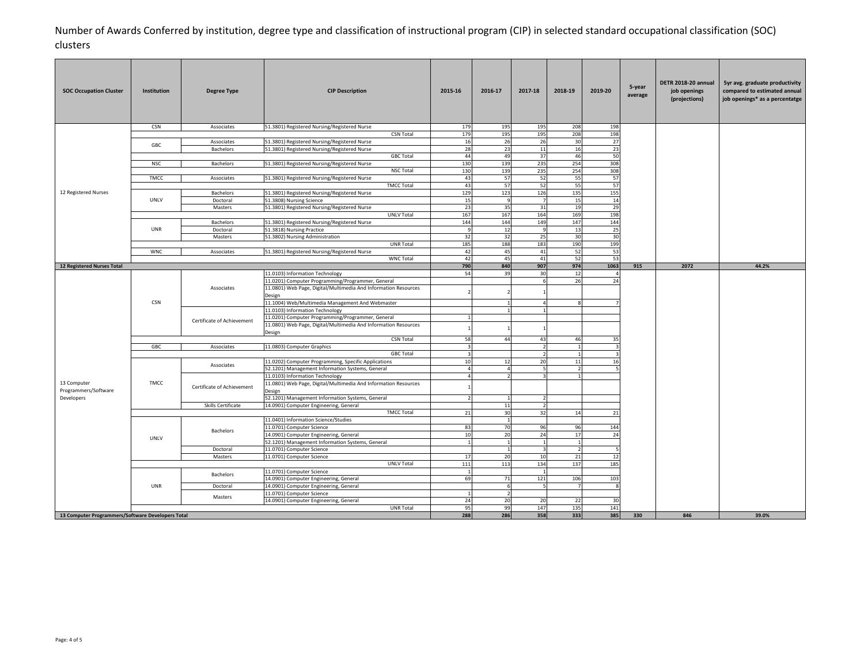| <b>SOC Occupation Cluster</b>                     | Institution | <b>Degree Type</b>         | <b>CIP Description</b>                                                                                                                                                                                                | 2015-16                        | 2016-17            | 2017-18                                    | 2018-19        | 2019-20    | 5-year<br>average | DETR 2018-20 annual<br>job openings<br>(projections) | 5yr avg. graduate productivity<br>compared to estimated annual<br>job openings* as a percentatge |
|---------------------------------------------------|-------------|----------------------------|-----------------------------------------------------------------------------------------------------------------------------------------------------------------------------------------------------------------------|--------------------------------|--------------------|--------------------------------------------|----------------|------------|-------------------|------------------------------------------------------|--------------------------------------------------------------------------------------------------|
|                                                   | <b>CSN</b>  | Associates                 | 51.3801) Registered Nursing/Registered Nurse                                                                                                                                                                          | 179                            | 195                | 195                                        | 208            | 198        |                   |                                                      |                                                                                                  |
|                                                   |             |                            | <b>CSN Total</b>                                                                                                                                                                                                      | 179                            | 195                | 195                                        | 208            | 198        |                   |                                                      |                                                                                                  |
|                                                   | GBC         | Associates                 | 51.3801) Registered Nursing/Registered Nurse                                                                                                                                                                          | 16                             | 26<br>23           | 26                                         | 30             | 27         |                   |                                                      |                                                                                                  |
|                                                   |             | Bachelors                  | 51.3801) Registered Nursing/Registered Nurse<br><b>GBC Total</b>                                                                                                                                                      | 28<br>44                       | 49                 | 11<br>37                                   | 16<br>46       | 23<br>50   |                   |                                                      |                                                                                                  |
|                                                   | <b>NSC</b>  | <b>Bachelors</b>           | 51.3801) Registered Nursing/Registered Nurse                                                                                                                                                                          | 130                            | 139                | 235                                        | 254            | 308        |                   |                                                      |                                                                                                  |
|                                                   |             |                            | <b>NSC Total</b>                                                                                                                                                                                                      | 130                            | 139                | 235                                        | 254            | 308        |                   |                                                      |                                                                                                  |
|                                                   | TMCC        | Associates                 | 51.3801) Registered Nursing/Registered Nurse                                                                                                                                                                          | 43                             | 57                 | 52                                         | 55             | 57         |                   |                                                      |                                                                                                  |
|                                                   |             |                            | <b>TMCC Total</b>                                                                                                                                                                                                     | 43                             | 57                 | 52                                         | 55             | 57         |                   |                                                      |                                                                                                  |
| 12 Registered Nurses                              |             | Bachelors                  | 51.3801) Registered Nursing/Registered Nurse                                                                                                                                                                          | 129                            | 123                | 126                                        | 135            | 155        |                   |                                                      |                                                                                                  |
|                                                   | <b>UNLV</b> | Doctoral                   | 51.3808) Nursing Science                                                                                                                                                                                              | 15                             | 9                  | - 7                                        | 15             | 14         |                   |                                                      |                                                                                                  |
|                                                   |             | Masters                    | 51.3801) Registered Nursing/Registered Nurse                                                                                                                                                                          | 23                             | 35                 | 31                                         | 19             | 29         |                   |                                                      |                                                                                                  |
|                                                   |             | Bachelors                  | <b>UNLV Total</b><br>51.3801) Registered Nursing/Registered Nurse                                                                                                                                                     | 167<br>144                     | 167<br>144         | 164<br>149                                 | 169<br>147     | 198<br>144 |                   |                                                      |                                                                                                  |
|                                                   | UNR         | Doctoral                   | 51.3818) Nursing Practice                                                                                                                                                                                             | -9                             | 12                 | 9                                          | 13             | 25         |                   |                                                      |                                                                                                  |
|                                                   |             | Masters                    | 51.3802) Nursing Administration                                                                                                                                                                                       | 32                             | 32                 | 25                                         | 30             | 30         |                   |                                                      |                                                                                                  |
|                                                   |             |                            | <b>UNR Total</b>                                                                                                                                                                                                      | 185                            | 188                | 183                                        | 190            | 199        |                   |                                                      |                                                                                                  |
|                                                   | <b>WNC</b>  | Associates                 | 51.3801) Registered Nursing/Registered Nurse                                                                                                                                                                          | 42                             | 45                 | 41                                         | 52             | 53         |                   |                                                      |                                                                                                  |
|                                                   |             |                            | <b>WNC Total</b>                                                                                                                                                                                                      | 42                             | 45                 | 41                                         | 52             | 53         |                   |                                                      |                                                                                                  |
| 12 Registered Nurses Total                        |             |                            |                                                                                                                                                                                                                       | 790<br>54                      | 840<br>39          | 907                                        | 974<br>12      | 1063       | 915               |                                                      | 44.2%                                                                                            |
|                                                   | <b>CSN</b>  | Associates                 | 11.0103) Information Technology<br>11.0201) Computer Programming/Programmer, General<br>11.0801) Web Page, Digital/Multimedia And Information Resources<br>Design<br>11.1004) Web/Multimedia Management And Webmaster |                                |                    | 30<br>$\epsilon$                           | 26             | 4<br>24    |                   |                                                      |                                                                                                  |
|                                                   |             |                            | 11.0103) Information Technology                                                                                                                                                                                       |                                |                    |                                            |                |            |                   |                                                      |                                                                                                  |
|                                                   |             | Certificate of Achievement | 11.0201) Computer Programming/Programmer, General                                                                                                                                                                     |                                |                    |                                            |                |            |                   |                                                      |                                                                                                  |
|                                                   |             |                            | 11.0801) Web Page, Digital/Multimedia And Information Resources<br>Design                                                                                                                                             |                                |                    |                                            |                |            |                   |                                                      |                                                                                                  |
|                                                   |             |                            | <b>CSN Total</b>                                                                                                                                                                                                      | 58                             | 44                 | 43                                         | 46             | 35         |                   |                                                      |                                                                                                  |
|                                                   | GBC         | Associates                 | 11.0803) Computer Graphics<br><b>GBC Total</b>                                                                                                                                                                        | $\overline{3}$<br>$\mathbf{3}$ |                    | $\overline{z}$<br>$\overline{\phantom{a}}$ | $\overline{1}$ | 3          |                   |                                                      |                                                                                                  |
|                                                   |             |                            | 11.0202) Computer Programming, Specific Applications                                                                                                                                                                  | 10                             | 12                 | 20                                         | $11\,$         | 16         |                   |                                                      |                                                                                                  |
|                                                   |             | Associates                 | 52.1201) Management Information Systems, General                                                                                                                                                                      | $\overline{4}$                 | $\overline{4}$     | -5                                         | $\overline{2}$ |            |                   |                                                      |                                                                                                  |
|                                                   |             |                            | 11.0103) Information Technology                                                                                                                                                                                       | $\overline{4}$                 |                    | 3                                          |                |            |                   |                                                      |                                                                                                  |
| 13 Computer<br>Programmers/Software               | TMCC        | Certificate of Achievement | 11.0801) Web Page, Digital/Multimedia And Information Resources<br>Design                                                                                                                                             |                                |                    |                                            |                |            |                   | 2072<br>846                                          |                                                                                                  |
| Developers                                        |             |                            | 52.1201) Management Information Systems, General                                                                                                                                                                      |                                |                    |                                            |                |            |                   |                                                      |                                                                                                  |
|                                                   |             | Skills Certificate         | 14.0901) Computer Engineering, General                                                                                                                                                                                |                                | $11\,$             | $\overline{2}$                             |                |            |                   |                                                      |                                                                                                  |
|                                                   |             |                            | <b>TMCC Total</b><br>11.0401) Information Science/Studies                                                                                                                                                             | 21                             | 30<br>$\mathbf{1}$ | 32                                         | 14             | 21         |                   |                                                      |                                                                                                  |
|                                                   |             |                            | 11.0701) Computer Science                                                                                                                                                                                             | 83                             | 70                 | 96                                         | 96             | 144        |                   |                                                      |                                                                                                  |
|                                                   |             | Bachelors                  | 14.0901) Computer Engineering, General                                                                                                                                                                                | 10                             | 20                 | 24                                         | 17             | 24         |                   |                                                      |                                                                                                  |
|                                                   | UNLV        |                            | 52.1201) Management Information Systems, General                                                                                                                                                                      | $\mathbf{1}$                   | $\overline{1}$     | $\overline{1}$                             | $\overline{1}$ |            |                   |                                                      |                                                                                                  |
|                                                   |             | Doctoral                   | 11.0701) Computer Science                                                                                                                                                                                             |                                | $\overline{1}$     | -3                                         | $\overline{z}$ |            |                   |                                                      |                                                                                                  |
|                                                   |             | Masters                    | 11.0701) Computer Science                                                                                                                                                                                             | 17                             | 20                 | 10                                         | 21             | 12         |                   |                                                      |                                                                                                  |
|                                                   |             |                            | <b>UNLV Total</b>                                                                                                                                                                                                     | 111                            | 113                | 134                                        | 137            | 185        |                   |                                                      |                                                                                                  |
|                                                   |             | Bachelors                  | 11.0701) Computer Science                                                                                                                                                                                             | $1\overline{ }$                |                    | $\overline{1}$                             |                |            |                   |                                                      |                                                                                                  |
|                                                   |             |                            | 14.0901) Computer Engineering, General                                                                                                                                                                                | 69                             | 71                 | 121                                        | 106<br>7       | 103        |                   |                                                      |                                                                                                  |
|                                                   | UNR         | Doctoral                   | 14.0901) Computer Engineering, General<br>11.0701) Computer Science                                                                                                                                                   |                                | 6                  | - 5                                        |                | 8          |                   |                                                      |                                                                                                  |
|                                                   |             | Masters                    | 14.0901) Computer Engineering, General                                                                                                                                                                                | 24                             | 20                 | 20                                         | 22             | 30         |                   |                                                      |                                                                                                  |
|                                                   |             |                            | <b>UNR Total</b>                                                                                                                                                                                                      | 95                             | 99                 | 147                                        | 135            | 141        |                   |                                                      |                                                                                                  |
| 13 Computer Programmers/Software Developers Total |             |                            |                                                                                                                                                                                                                       |                                | 288<br>286         | 358                                        | 333            | 385        | 330               |                                                      | 39.0%                                                                                            |